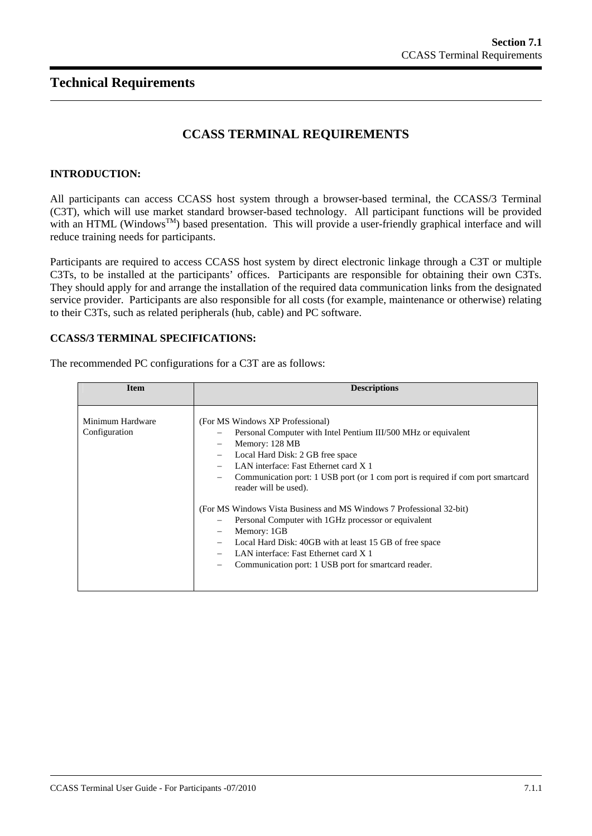# **CCASS TERMINAL REQUIREMENTS**

## **INTRODUCTION:**

All participants can access CCASS host system through a browser-based terminal, the CCASS/3 Terminal (C3T), which will use market standard browser-based technology. All participant functions will be provided with an HTML (Windows<sup>TM</sup>) based presentation. This will provide a user-friendly graphical interface and will reduce training needs for participants.

Participants are required to access CCASS host system by direct electronic linkage through a C3T or multiple C3Ts, to be installed at the participants' offices. Participants are responsible for obtaining their own C3Ts. They should apply for and arrange the installation of the required data communication links from the designated service provider. Participants are also responsible for all costs (for example, maintenance or otherwise) relating to their C3Ts, such as related peripherals (hub, cable) and PC software.

#### **CCASS/3 TERMINAL SPECIFICATIONS:**

| <b>Item</b>                       | <b>Descriptions</b>                                                                                                                                                                                                                                                                                                                                                                                                                                                                                                                                                                                                                                |
|-----------------------------------|----------------------------------------------------------------------------------------------------------------------------------------------------------------------------------------------------------------------------------------------------------------------------------------------------------------------------------------------------------------------------------------------------------------------------------------------------------------------------------------------------------------------------------------------------------------------------------------------------------------------------------------------------|
| Minimum Hardware<br>Configuration | (For MS Windows XP Professional)<br>Personal Computer with Intel Pentium III/500 MHz or equivalent<br>Memory: 128 MB<br>$\overline{\phantom{0}}$<br>Local Hard Disk: 2 GB free space<br>LAN interface: Fast Ethernet card X 1<br>Communication port: 1 USB port (or 1 comport is required if comport smartcard<br>reader will be used).<br>(For MS Windows Vista Business and MS Windows 7 Professional 32-bit)<br>Personal Computer with 1 GHz processor or equivalent<br>Memory: 1GB<br>Local Hard Disk: 40GB with at least 15 GB of free space<br>LAN interface: Fast Ethernet card X 1<br>Communication port: 1 USB port for smartcard reader. |

The recommended PC configurations for a C3T are as follows: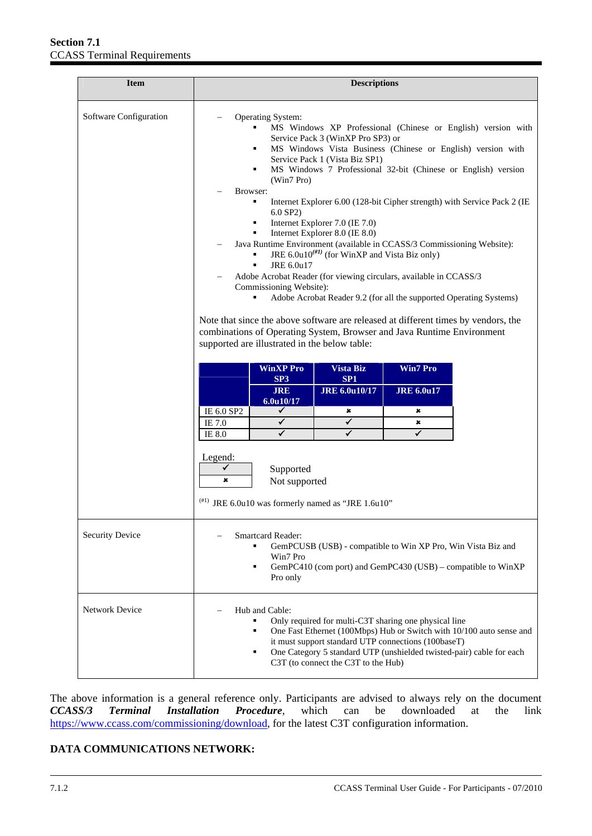| <b>Item</b>            | <b>Descriptions</b>                                                                                                                                                                                                                                                                                                                                                                                                                                                                                                                                                                                                                                                                        |                                                                                                                                                                                                                                                                                                                                                                                                                                                                                                                      |                                                                |                                                                                                                                          |
|------------------------|--------------------------------------------------------------------------------------------------------------------------------------------------------------------------------------------------------------------------------------------------------------------------------------------------------------------------------------------------------------------------------------------------------------------------------------------------------------------------------------------------------------------------------------------------------------------------------------------------------------------------------------------------------------------------------------------|----------------------------------------------------------------------------------------------------------------------------------------------------------------------------------------------------------------------------------------------------------------------------------------------------------------------------------------------------------------------------------------------------------------------------------------------------------------------------------------------------------------------|----------------------------------------------------------------|------------------------------------------------------------------------------------------------------------------------------------------|
| Software Configuration | Operating System:<br>٠<br>٠<br>(Win7 Pro)<br>Browser:<br>6.0 SP2)<br>$\blacksquare$<br>Java Runtime Environment (available in CCASS/3 Commissioning Website):<br>$\blacksquare$<br>JRE 6.0u17<br>$\blacksquare$<br>Adobe Acrobat Reader (for viewing circulars, available in CCASS/3<br>Commissioning Website):<br>Note that since the above software are released at different times by vendors, the<br>combinations of Operating System, Browser and Java Runtime Environment<br>supported are illustrated in the below table:<br><b>WinXP Pro</b><br>SP3<br><b>JRE</b><br>6.0u10/17<br>IE 6.0 SP2<br>✔<br>IE 7.0<br>✓<br>✓<br>IE 8.0<br>Legend:<br>✓<br>Supported<br>×<br>Not supported | Service Pack 3 (WinXP Pro SP3) or<br>MS Windows Vista Business (Chinese or English) version with<br>Service Pack 1 (Vista Biz SP1)<br>MS Windows 7 Professional 32-bit (Chinese or English) version<br>Internet Explorer 7.0 (IE 7.0)<br>Internet Explorer 8.0 (IE 8.0)<br>JRE 6.0u10 <sup><math>(#I)</math></sup> (for WinXP and Vista Biz only)<br>Adobe Acrobat Reader 9.2 (for all the supported Operating Systems)<br>Vista Biz<br>SP <sub>1</sub><br><b>JRE 6.0u10/17</b><br>×<br>✓<br>$\overline{\checkmark}$ | <b>Win7 Pro</b><br><b>JRE 6.0u17</b><br>×<br>×<br>$\checkmark$ | MS Windows XP Professional (Chinese or English) version with<br>Internet Explorer 6.00 (128-bit Cipher strength) with Service Pack 2 (IE |
| <b>Security Device</b> | $^{(H1)}$ JRE 6.0u10 was formerly named as "JRE 1.6u10"<br><b>Smartcard Reader:</b><br>GemPCUSB (USB) - compatible to Win XP Pro, Win Vista Biz and<br>Win7 Pro<br>GemPC410 (com port) and GemPC430 (USB) – compatible to WinXP<br>٠<br>Pro only                                                                                                                                                                                                                                                                                                                                                                                                                                           |                                                                                                                                                                                                                                                                                                                                                                                                                                                                                                                      |                                                                |                                                                                                                                          |
| <b>Network Device</b>  | Hub and Cable:<br>Only required for multi-C3T sharing one physical line<br>One Fast Ethernet (100Mbps) Hub or Switch with 10/100 auto sense and<br>٠<br>it must support standard UTP connections (100baseT)<br>One Category 5 standard UTP (unshielded twisted-pair) cable for each<br>٠<br>C3T (to connect the C3T to the Hub)                                                                                                                                                                                                                                                                                                                                                            |                                                                                                                                                                                                                                                                                                                                                                                                                                                                                                                      |                                                                |                                                                                                                                          |

The above information is a general reference only. Participants are advised to always rely on the document *CCASS/3 Terminal Installation Procedure*, which can be downloaded at the link [https://www.ccass.com/commissioning/download,](https://www.ccass.com/commissioning/download/) for the latest C3T configuration information.

## **DATA COMMUNICATIONS NETWORK:**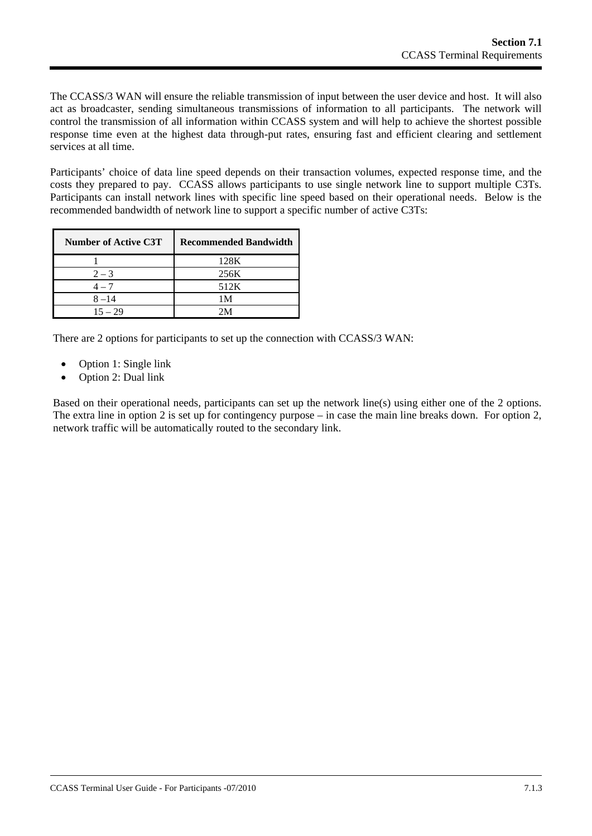The CCASS/3 WAN will ensure the reliable transmission of input between the user device and host. It will also act as broadcaster, sending simultaneous transmissions of information to all participants. The network will control the transmission of all information within CCASS system and will help to achieve the shortest possible response time even at the highest data through-put rates, ensuring fast and efficient clearing and settlement services at all time.

Participants' choice of data line speed depends on their transaction volumes, expected response time, and the costs they prepared to pay. CCASS allows participants to use single network line to support multiple C3Ts. Participants can install network lines with specific line speed based on their operational needs. Below is the recommended bandwidth of network line to support a specific number of active C3Ts:

| <b>Number of Active C3T</b> | <b>Recommended Bandwidth</b> |
|-----------------------------|------------------------------|
|                             | 128K                         |
| $2 - 3$                     | 256K                         |
| $4-7$                       | 512K                         |
| $8 - 14$                    | 1 M                          |
| $15 - 29$                   | 7 N A                        |

There are 2 options for participants to set up the connection with CCASS/3 WAN:

- Option 1: Single link
- Option 2: Dual link

Based on their operational needs, participants can set up the network line(s) using either one of the 2 options. The extra line in option 2 is set up for contingency purpose – in case the main line breaks down. For option 2, network traffic will be automatically routed to the secondary link.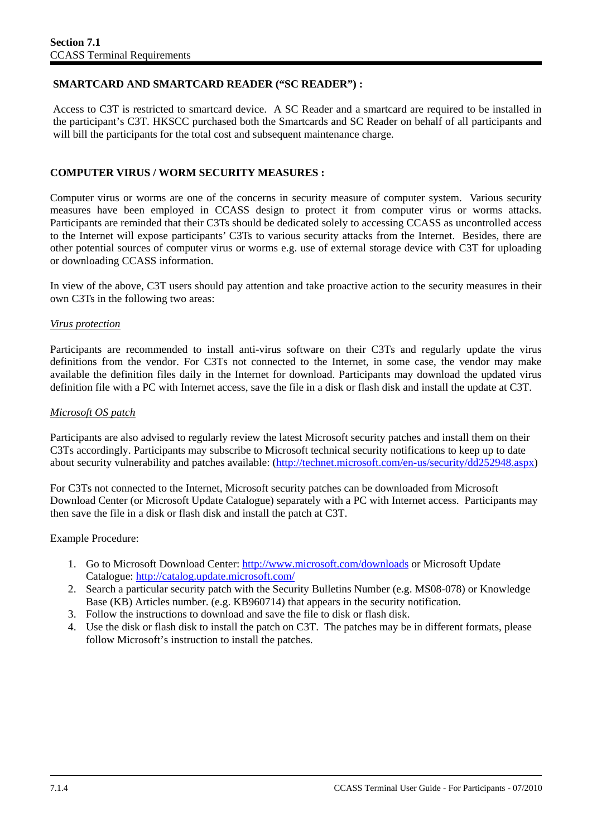## **SMARTCARD AND SMARTCARD READER ("SC READER") :**

Access to C3T is restricted to smartcard device. A SC Reader and a smartcard are required to be installed in the participant's C3T. HKSCC purchased both the Smartcards and SC Reader on behalf of all participants and will bill the participants for the total cost and subsequent maintenance charge.

## **COMPUTER VIRUS / WORM SECURITY MEASURES :**

Computer virus or worms are one of the concerns in security measure of computer system. Various security measures have been employed in CCASS design to protect it from computer virus or worms attacks. Participants are reminded that their C3Ts should be dedicated solely to accessing CCASS as uncontrolled access to the Internet will expose participants' C3Ts to various security attacks from the Internet. Besides, there are other potential sources of computer virus or worms e.g. use of external storage device with C3T for uploading or downloading CCASS information.

In view of the above, C3T users should pay attention and take proactive action to the security measures in their own C3Ts in the following two areas:

#### *Virus protection*

Participants are recommended to install anti-virus software on their C3Ts and regularly update the virus definitions from the vendor. For C3Ts not connected to the Internet, in some case, the vendor may make available the definition files daily in the Internet for download. Participants may download the updated virus definition file with a PC with Internet access, save the file in a disk or flash disk and install the update at C3T.

#### *Microsoft OS patch*

Participants are also advised to regularly review the latest Microsoft security patches and install them on their C3Ts accordingly. Participants may subscribe to Microsoft technical security notifications to keep up to date about security vulnerability and patches available: (<http://technet.microsoft.com/en-us/security/dd252948.aspx>)

For C3Ts not connected to the Internet, Microsoft security patches can be downloaded from Microsoft Download Center (or Microsoft Update Catalogue) separately with a PC with Internet access. Participants may then save the file in a disk or flash disk and install the patch at C3T.

Example Procedure:

- 1. Go to Microsoft Download Center: <http://www.microsoft.com/downloads> or Microsoft Update Catalogue: <http://catalog.update.microsoft.com/>
- 2. Search a particular security patch with the Security Bulletins Number (e.g. MS08-078) or Knowledge Base (KB) Articles number. (e.g. KB960714) that appears in the security notification.
- 3. Follow the instructions to download and save the file to disk or flash disk.
- 4. Use the disk or flash disk to install the patch on C3T. The patches may be in different formats, please follow Microsoft's instruction to install the patches.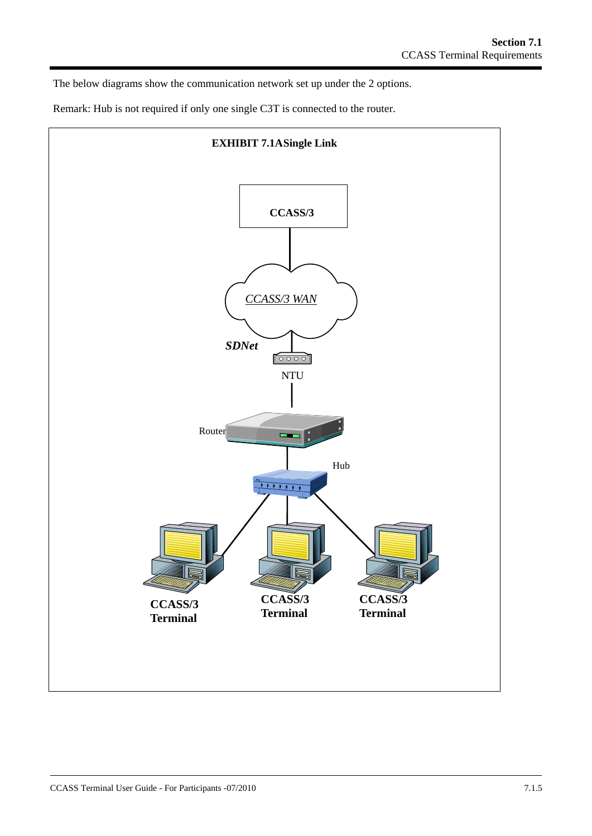The below diagrams show the communication network set up under the 2 options.

Remark: Hub is not required if only one single C3T is connected to the router.

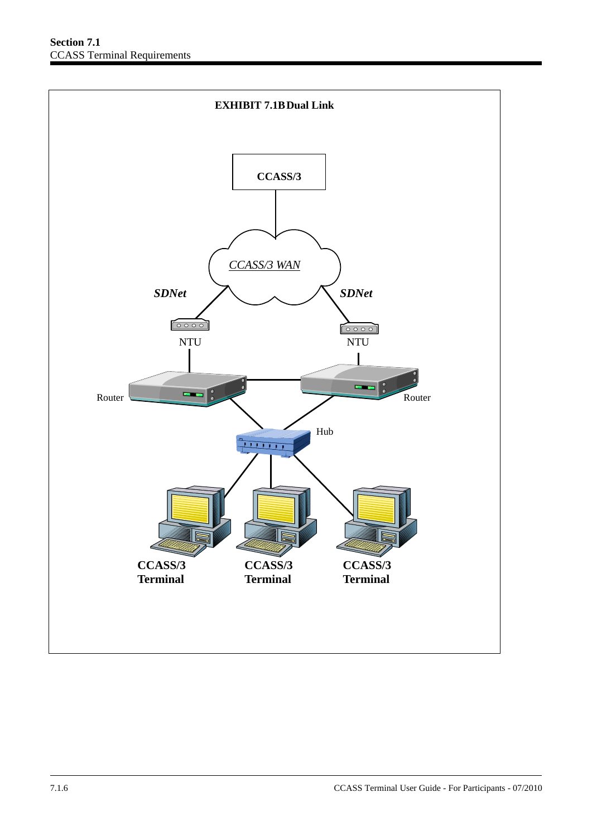